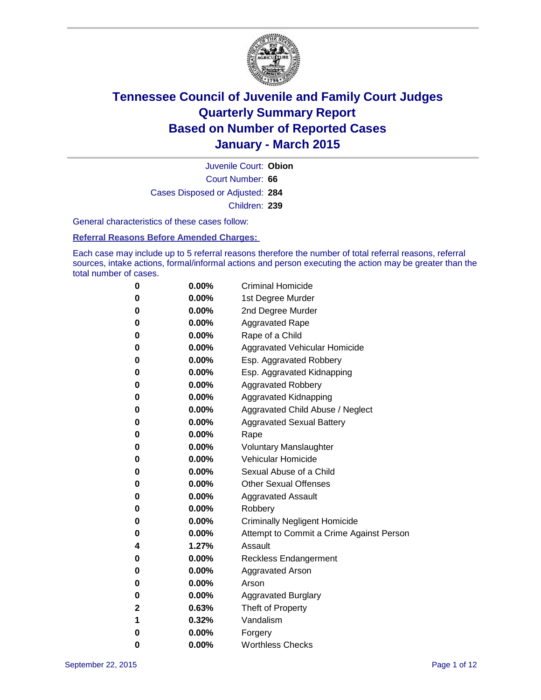

Court Number: **66** Juvenile Court: **Obion** Cases Disposed or Adjusted: **284** Children: **239**

General characteristics of these cases follow:

#### **Referral Reasons Before Amended Charges:**

Each case may include up to 5 referral reasons therefore the number of total referral reasons, referral sources, intake actions, formal/informal actions and person executing the action may be greater than the total number of cases.

| 0        | $0.00\%$ | <b>Criminal Homicide</b>                 |
|----------|----------|------------------------------------------|
| $\bf{0}$ | $0.00\%$ | 1st Degree Murder                        |
| $\bf{0}$ | $0.00\%$ | 2nd Degree Murder                        |
| 0        | $0.00\%$ | <b>Aggravated Rape</b>                   |
| 0        | $0.00\%$ | Rape of a Child                          |
| 0        | $0.00\%$ | Aggravated Vehicular Homicide            |
| 0        | 0.00%    | Esp. Aggravated Robbery                  |
| 0        | $0.00\%$ | Esp. Aggravated Kidnapping               |
| 0        | $0.00\%$ | <b>Aggravated Robbery</b>                |
| 0        | $0.00\%$ | Aggravated Kidnapping                    |
| 0        | $0.00\%$ | Aggravated Child Abuse / Neglect         |
| 0        | 0.00%    | <b>Aggravated Sexual Battery</b>         |
| $\bf{0}$ | $0.00\%$ | Rape                                     |
| 0        | 0.00%    | <b>Voluntary Manslaughter</b>            |
| 0        | $0.00\%$ | <b>Vehicular Homicide</b>                |
| 0        | $0.00\%$ | Sexual Abuse of a Child                  |
| $\bf{0}$ | $0.00\%$ | <b>Other Sexual Offenses</b>             |
| 0        | 0.00%    | <b>Aggravated Assault</b>                |
| 0        | $0.00\%$ | Robbery                                  |
| 0        | $0.00\%$ | <b>Criminally Negligent Homicide</b>     |
| $\bf{0}$ | $0.00\%$ | Attempt to Commit a Crime Against Person |
| 4        | 1.27%    | Assault                                  |
| 0        | $0.00\%$ | <b>Reckless Endangerment</b>             |
| 0        | $0.00\%$ | Aggravated Arson                         |
| $\bf{0}$ | $0.00\%$ | Arson                                    |
| $\bf{0}$ | $0.00\%$ | <b>Aggravated Burglary</b>               |
| 2        | 0.63%    | Theft of Property                        |
| 1        | 0.32%    | Vandalism                                |
| $\bf{0}$ | $0.00\%$ | Forgery                                  |
| 0        | 0.00%    | <b>Worthless Checks</b>                  |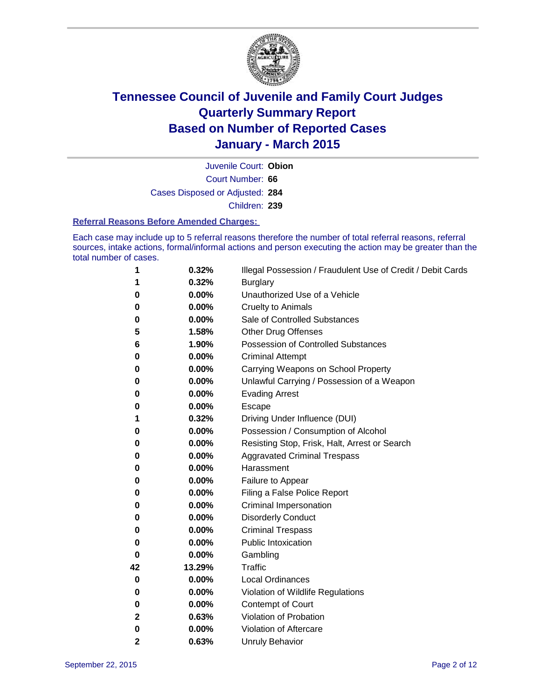

Court Number: **66** Juvenile Court: **Obion** Cases Disposed or Adjusted: **284** Children: **239**

#### **Referral Reasons Before Amended Charges:**

Each case may include up to 5 referral reasons therefore the number of total referral reasons, referral sources, intake actions, formal/informal actions and person executing the action may be greater than the total number of cases.

| 1            | 0.32%  | Illegal Possession / Fraudulent Use of Credit / Debit Cards |
|--------------|--------|-------------------------------------------------------------|
| 1            | 0.32%  | <b>Burglary</b>                                             |
| 0            | 0.00%  | Unauthorized Use of a Vehicle                               |
| 0            | 0.00%  | <b>Cruelty to Animals</b>                                   |
| 0            | 0.00%  | Sale of Controlled Substances                               |
| 5            | 1.58%  | <b>Other Drug Offenses</b>                                  |
| 6            | 1.90%  | <b>Possession of Controlled Substances</b>                  |
| 0            | 0.00%  | <b>Criminal Attempt</b>                                     |
| 0            | 0.00%  | Carrying Weapons on School Property                         |
| 0            | 0.00%  | Unlawful Carrying / Possession of a Weapon                  |
| 0            | 0.00%  | <b>Evading Arrest</b>                                       |
| 0            | 0.00%  | Escape                                                      |
| 1            | 0.32%  | Driving Under Influence (DUI)                               |
| 0            | 0.00%  | Possession / Consumption of Alcohol                         |
| 0            | 0.00%  | Resisting Stop, Frisk, Halt, Arrest or Search               |
| 0            | 0.00%  | <b>Aggravated Criminal Trespass</b>                         |
| 0            | 0.00%  | Harassment                                                  |
| 0            | 0.00%  | Failure to Appear                                           |
| 0            | 0.00%  | Filing a False Police Report                                |
| 0            | 0.00%  | Criminal Impersonation                                      |
| 0            | 0.00%  | <b>Disorderly Conduct</b>                                   |
| 0            | 0.00%  | <b>Criminal Trespass</b>                                    |
| 0            | 0.00%  | <b>Public Intoxication</b>                                  |
| $\bf{0}$     | 0.00%  | Gambling                                                    |
| 42           | 13.29% | Traffic                                                     |
| 0            | 0.00%  | <b>Local Ordinances</b>                                     |
| 0            | 0.00%  | Violation of Wildlife Regulations                           |
| 0            | 0.00%  | <b>Contempt of Court</b>                                    |
| 2            | 0.63%  | Violation of Probation                                      |
| 0            | 0.00%  | Violation of Aftercare                                      |
| $\mathbf{2}$ | 0.63%  | <b>Unruly Behavior</b>                                      |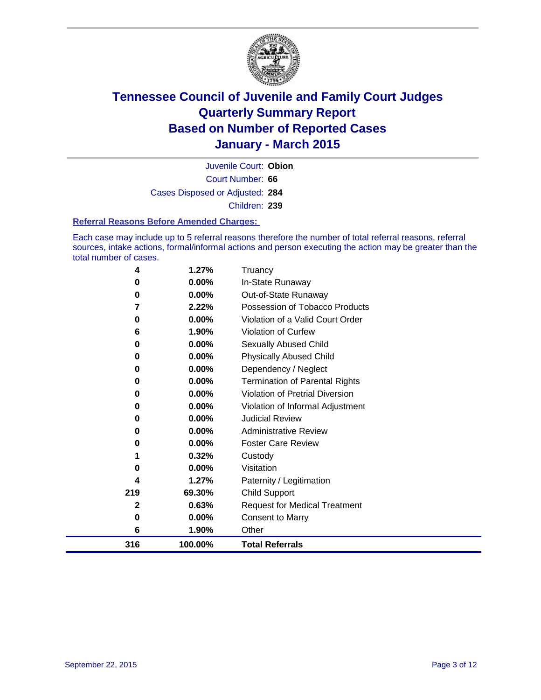

Court Number: **66** Juvenile Court: **Obion** Cases Disposed or Adjusted: **284** Children: **239**

#### **Referral Reasons Before Amended Charges:**

Each case may include up to 5 referral reasons therefore the number of total referral reasons, referral sources, intake actions, formal/informal actions and person executing the action may be greater than the total number of cases.

| 4   | 1.27%    | Truancy                                |
|-----|----------|----------------------------------------|
| 0   | 0.00%    | In-State Runaway                       |
| 0   | $0.00\%$ | Out-of-State Runaway                   |
| 7   | 2.22%    | Possession of Tobacco Products         |
| 0   | $0.00\%$ | Violation of a Valid Court Order       |
| 6   | 1.90%    | <b>Violation of Curfew</b>             |
| 0   | $0.00\%$ | Sexually Abused Child                  |
| 0   | 0.00%    | <b>Physically Abused Child</b>         |
| 0   | 0.00%    | Dependency / Neglect                   |
| 0   | 0.00%    | <b>Termination of Parental Rights</b>  |
| 0   | $0.00\%$ | <b>Violation of Pretrial Diversion</b> |
| 0   | 0.00%    | Violation of Informal Adjustment       |
| 0   | 0.00%    | <b>Judicial Review</b>                 |
| 0   | $0.00\%$ | <b>Administrative Review</b>           |
| 0   | 0.00%    | <b>Foster Care Review</b>              |
| 1   | 0.32%    | Custody                                |
| 0   | 0.00%    | Visitation                             |
| 4   | 1.27%    | Paternity / Legitimation               |
| 219 | 69.30%   | <b>Child Support</b>                   |
| 2   | 0.63%    | <b>Request for Medical Treatment</b>   |
| 0   | 0.00%    | <b>Consent to Marry</b>                |
| 6   | 1.90%    | Other                                  |
| 316 | 100.00%  | <b>Total Referrals</b>                 |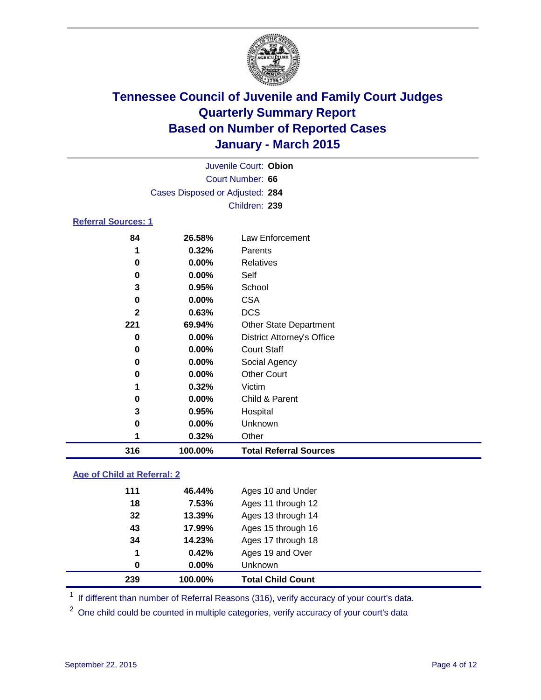

| Juvenile Court: Obion           |  |
|---------------------------------|--|
| Court Number: 66                |  |
| Cases Disposed or Adjusted: 284 |  |
| Children: 239                   |  |
|                                 |  |

### **Referral Sources: 1**

| 316 | 100.00%  | <b>Total Referral Sources</b>     |
|-----|----------|-----------------------------------|
|     | 0.32%    | Other                             |
| 0   | 0.00%    | Unknown                           |
| 3   | 0.95%    | Hospital                          |
| 0   | $0.00\%$ | Child & Parent                    |
|     | 0.32%    | Victim                            |
| 0   | $0.00\%$ | <b>Other Court</b>                |
| 0   | $0.00\%$ | Social Agency                     |
| 0   | $0.00\%$ | <b>Court Staff</b>                |
| 0   | $0.00\%$ | <b>District Attorney's Office</b> |
| 221 | 69.94%   | <b>Other State Department</b>     |
| 2   | 0.63%    | <b>DCS</b>                        |
| 0   | $0.00\%$ | <b>CSA</b>                        |
| 3   | 0.95%    | School                            |
| 0   | $0.00\%$ | Self                              |
| 0   | $0.00\%$ | Relatives                         |
|     | 0.32%    | Parents                           |
| 84  | 26.58%   | Law Enforcement                   |

### **Age of Child at Referral: 2**

| 239 | 100.00%  | <b>Total Child Count</b> |
|-----|----------|--------------------------|
| 0   | $0.00\%$ | <b>Unknown</b>           |
| 1   | 0.42%    | Ages 19 and Over         |
| 34  | 14.23%   | Ages 17 through 18       |
| 43  | 17.99%   | Ages 15 through 16       |
| 32  | 13.39%   | Ages 13 through 14       |
| 18  | 7.53%    | Ages 11 through 12       |
| 111 | 46.44%   | Ages 10 and Under        |

<sup>1</sup> If different than number of Referral Reasons (316), verify accuracy of your court's data.

One child could be counted in multiple categories, verify accuracy of your court's data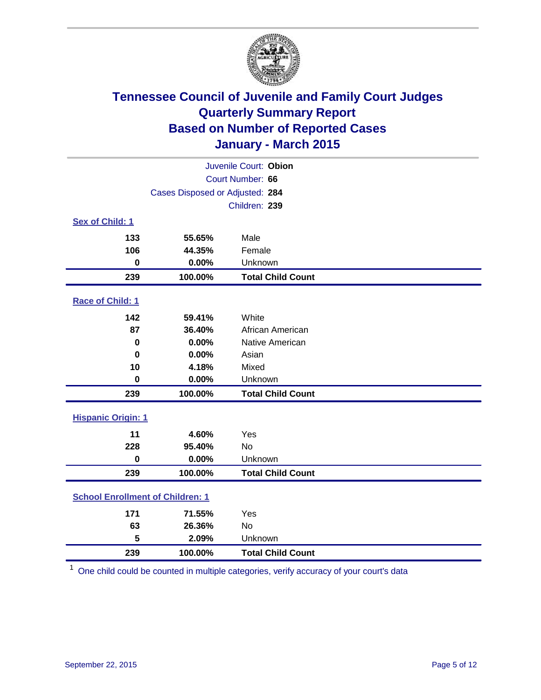

| Juvenile Court: Obion                   |                                 |                          |  |  |
|-----------------------------------------|---------------------------------|--------------------------|--|--|
| Court Number: 66                        |                                 |                          |  |  |
|                                         | Cases Disposed or Adjusted: 284 |                          |  |  |
|                                         |                                 | Children: 239            |  |  |
| Sex of Child: 1                         |                                 |                          |  |  |
| 133                                     | 55.65%                          | Male                     |  |  |
| 106                                     | 44.35%                          | Female                   |  |  |
| 0                                       | 0.00%                           | Unknown                  |  |  |
| 239                                     | 100.00%                         | <b>Total Child Count</b> |  |  |
| Race of Child: 1                        |                                 |                          |  |  |
| 142                                     | 59.41%                          | White                    |  |  |
| 87                                      | 36.40%                          | African American         |  |  |
| $\mathbf 0$                             | 0.00%                           | Native American          |  |  |
| $\bf{0}$                                | 0.00%                           | Asian                    |  |  |
| 10                                      | 4.18%                           | Mixed                    |  |  |
| $\mathbf 0$                             | 0.00%                           | Unknown                  |  |  |
| 239                                     | 100.00%                         | <b>Total Child Count</b> |  |  |
| <b>Hispanic Origin: 1</b>               |                                 |                          |  |  |
| 11                                      | 4.60%                           | Yes                      |  |  |
| 228                                     | 95.40%                          | <b>No</b>                |  |  |
| $\bf{0}$                                | 0.00%                           | Unknown                  |  |  |
| 239                                     | 100.00%                         | <b>Total Child Count</b> |  |  |
| <b>School Enrollment of Children: 1</b> |                                 |                          |  |  |
| 171                                     | 71.55%                          | Yes                      |  |  |
| 63                                      | 26.36%                          | No                       |  |  |
| 5                                       | 2.09%                           | Unknown                  |  |  |
| 239                                     | 100.00%                         | <b>Total Child Count</b> |  |  |

One child could be counted in multiple categories, verify accuracy of your court's data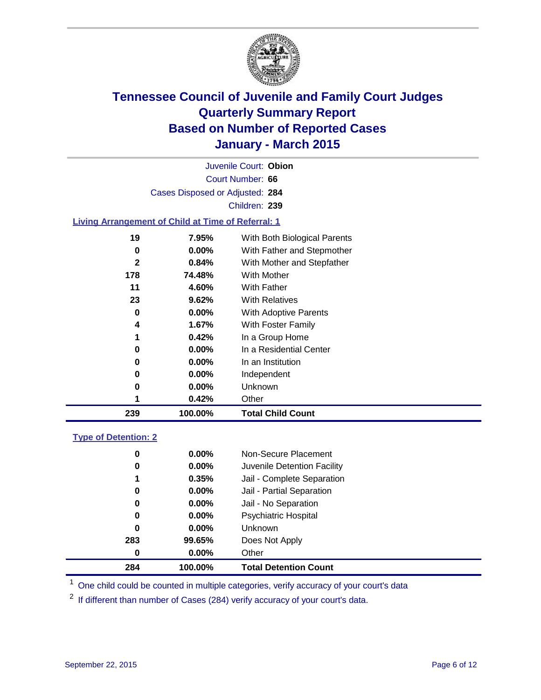

| Juvenile Court: Obion           |  |
|---------------------------------|--|
| Court Number: 66                |  |
| Cases Disposed or Adjusted: 284 |  |
| Children: 239                   |  |

### **Living Arrangement of Child at Time of Referral: 1**

| $\mathbf{2}$ | 0.84%    | With Mother and Stepfather |
|--------------|----------|----------------------------|
| 178          | 74.48%   | With Mother                |
| 11           | 4.60%    | With Father                |
| 23           | 9.62%    | <b>With Relatives</b>      |
| 0            | 0.00%    | With Adoptive Parents      |
| 4            | 1.67%    | With Foster Family         |
| 1            | 0.42%    | In a Group Home            |
| 0            | $0.00\%$ | In a Residential Center    |
| 0            | 0.00%    | In an Institution          |
| 0            | $0.00\%$ | Independent                |
| 0            | $0.00\%$ | <b>Unknown</b>             |
| 1            | 0.42%    | Other                      |
| 239          | 100.00%  | <b>Total Child Count</b>   |

### **Type of Detention: 2**

| 0<br>0<br>1<br>0<br>0<br>0<br>0<br>283 | $0.00\%$<br>$0.00\%$<br>0.35%<br>$0.00\%$<br>$0.00\%$<br>$0.00\%$<br>$0.00\%$<br>99.65% | Non-Secure Placement<br>Juvenile Detention Facility<br>Jail - Complete Separation<br>Jail - Partial Separation<br>Jail - No Separation<br><b>Psychiatric Hospital</b><br><b>Unknown</b><br>Does Not Apply |  |
|----------------------------------------|-----------------------------------------------------------------------------------------|-----------------------------------------------------------------------------------------------------------------------------------------------------------------------------------------------------------|--|
| 0                                      | $0.00\%$                                                                                | Other                                                                                                                                                                                                     |  |
| 284                                    | 100.00%                                                                                 | <b>Total Detention Count</b>                                                                                                                                                                              |  |

<sup>1</sup> One child could be counted in multiple categories, verify accuracy of your court's data

If different than number of Cases (284) verify accuracy of your court's data.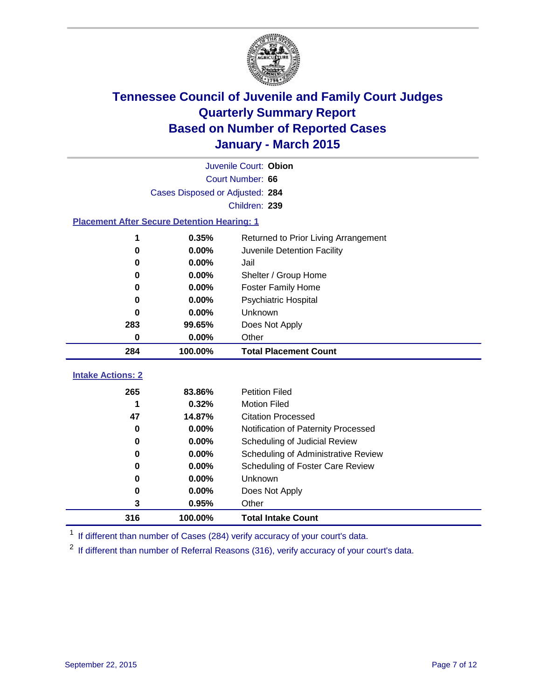

| Juvenile Court: Obion                              |                                       |                                      |  |  |  |  |
|----------------------------------------------------|---------------------------------------|--------------------------------------|--|--|--|--|
| Court Number: 66                                   |                                       |                                      |  |  |  |  |
|                                                    | Cases Disposed or Adjusted: 284       |                                      |  |  |  |  |
|                                                    |                                       | Children: 239                        |  |  |  |  |
| <b>Placement After Secure Detention Hearing: 1</b> |                                       |                                      |  |  |  |  |
| 1                                                  | 0.35%                                 | Returned to Prior Living Arrangement |  |  |  |  |
| $\mathbf 0$                                        | 0.00%                                 | Juvenile Detention Facility          |  |  |  |  |
| 0                                                  | 0.00%                                 | Jail                                 |  |  |  |  |
| 0                                                  | 0.00%<br>Shelter / Group Home         |                                      |  |  |  |  |
| 0                                                  | $0.00\%$<br><b>Foster Family Home</b> |                                      |  |  |  |  |
| $0.00\%$<br>Psychiatric Hospital<br>0              |                                       |                                      |  |  |  |  |
| 0                                                  | $0.00\%$                              | Unknown                              |  |  |  |  |
| 283                                                | 99.65%                                | Does Not Apply                       |  |  |  |  |
| 0                                                  | 0.00%                                 | Other                                |  |  |  |  |
| 284                                                | 100.00%                               | <b>Total Placement Count</b>         |  |  |  |  |
| <b>Intake Actions: 2</b>                           |                                       |                                      |  |  |  |  |
| 265                                                | 83.86%                                | <b>Petition Filed</b>                |  |  |  |  |
| 1                                                  | 0.32%                                 | <b>Motion Filed</b>                  |  |  |  |  |
| 47                                                 | 14.87%                                | <b>Citation Processed</b>            |  |  |  |  |
| 0                                                  |                                       |                                      |  |  |  |  |
|                                                    | $0.00\%$                              | Notification of Paternity Processed  |  |  |  |  |
| 0                                                  | 0.00%                                 | Scheduling of Judicial Review        |  |  |  |  |
| 0                                                  | $0.00\%$                              | Scheduling of Administrative Review  |  |  |  |  |
| 0                                                  | 0.00%                                 | Scheduling of Foster Care Review     |  |  |  |  |
| 0                                                  | 0.00%                                 | Unknown                              |  |  |  |  |

<sup>1</sup> If different than number of Cases (284) verify accuracy of your court's data.

**100.00% Total Intake Count**

**0.95%** Other

If different than number of Referral Reasons (316), verify accuracy of your court's data.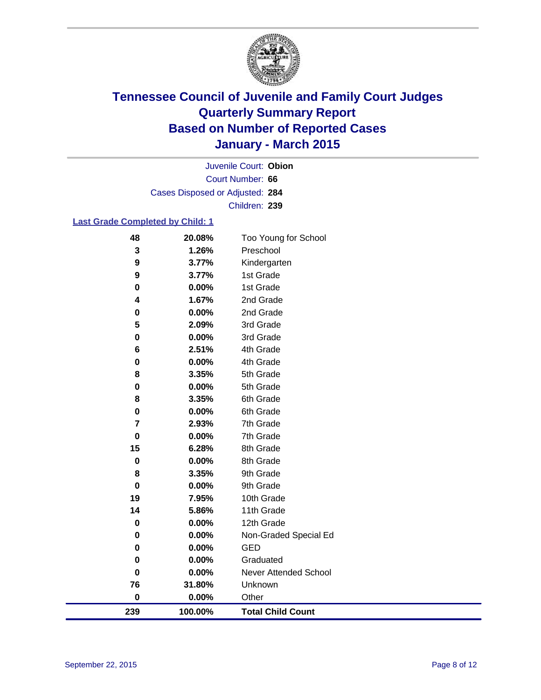

Court Number: **66** Juvenile Court: **Obion** Cases Disposed or Adjusted: **284** Children: **239**

### **Last Grade Completed by Child: 1**

| 48          | 20.08%  | Too Young for School     |
|-------------|---------|--------------------------|
| 3           | 1.26%   | Preschool                |
| 9           | 3.77%   | Kindergarten             |
| 9           | 3.77%   | 1st Grade                |
| 0           | 0.00%   | 1st Grade                |
| 4           | 1.67%   | 2nd Grade                |
| 0           | 0.00%   | 2nd Grade                |
| 5           | 2.09%   | 3rd Grade                |
| 0           | 0.00%   | 3rd Grade                |
| 6           | 2.51%   | 4th Grade                |
| 0           | 0.00%   | 4th Grade                |
| 8           | 3.35%   | 5th Grade                |
| 0           | 0.00%   | 5th Grade                |
| 8           | 3.35%   | 6th Grade                |
| $\pmb{0}$   | 0.00%   | 6th Grade                |
| 7           | 2.93%   | 7th Grade                |
| $\mathbf 0$ | 0.00%   | 7th Grade                |
| 15          | 6.28%   | 8th Grade                |
| 0           | 0.00%   | 8th Grade                |
| 8           | 3.35%   | 9th Grade                |
| 0           | 0.00%   | 9th Grade                |
| 19          | 7.95%   | 10th Grade               |
| 14          | 5.86%   | 11th Grade               |
| 0           | 0.00%   | 12th Grade               |
| 0           | 0.00%   | Non-Graded Special Ed    |
| 0           | 0.00%   | <b>GED</b>               |
| 0           | 0.00%   | Graduated                |
| $\mathbf 0$ | 0.00%   | Never Attended School    |
| 76          | 31.80%  | Unknown                  |
| $\pmb{0}$   | 0.00%   | Other                    |
| 239         | 100.00% | <b>Total Child Count</b> |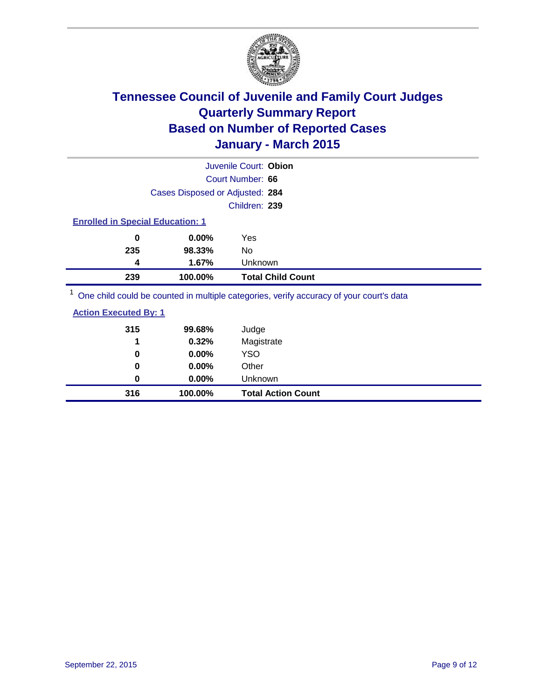

|                                                                                         |                                 | Juvenile Court: Obion    |
|-----------------------------------------------------------------------------------------|---------------------------------|--------------------------|
|                                                                                         |                                 | Court Number: 66         |
|                                                                                         | Cases Disposed or Adjusted: 284 |                          |
|                                                                                         |                                 | Children: 239            |
| <b>Enrolled in Special Education: 1</b>                                                 |                                 |                          |
| 0                                                                                       | $0.00\%$                        | Yes                      |
| 235                                                                                     | 98.33%                          | No                       |
| 4                                                                                       | 1.67%                           | Unknown                  |
| 239                                                                                     | 100.00%                         | <b>Total Child Count</b> |
| One child could be counted in multiple categories, verify accuracy of your court's data |                                 |                          |

| 316                          | 100.00%  | <b>Total Action Count</b> |  |
|------------------------------|----------|---------------------------|--|
| 0                            | $0.00\%$ | Unknown                   |  |
| 0                            | $0.00\%$ | Other                     |  |
| 0                            | 0.00%    | YSO                       |  |
| 1                            | 0.32%    | Magistrate                |  |
| 315                          | 99.68%   | Judge                     |  |
| <b>Action Executed By: 1</b> |          |                           |  |
|                              |          |                           |  |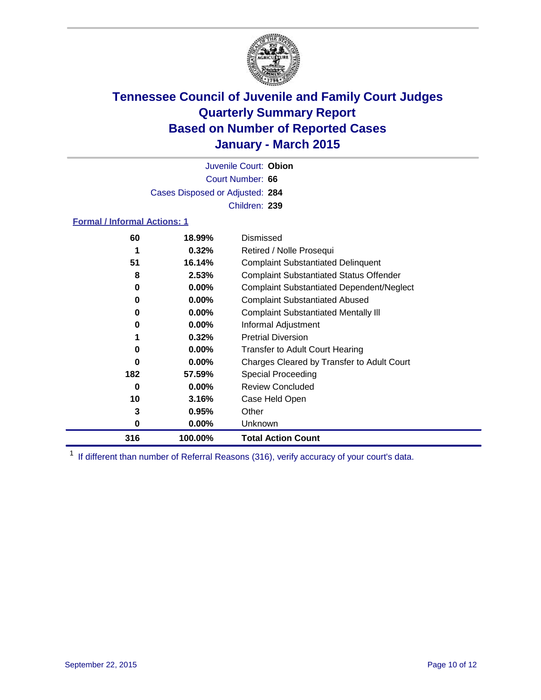

Court Number: **66** Juvenile Court: **Obion** Cases Disposed or Adjusted: **284** Children: **239**

### **Formal / Informal Actions: 1**

| 60  | 18.99%   | Dismissed                                        |
|-----|----------|--------------------------------------------------|
|     | 0.32%    | Retired / Nolle Prosequi                         |
| 51  | 16.14%   | <b>Complaint Substantiated Delinquent</b>        |
| 8   | 2.53%    | <b>Complaint Substantiated Status Offender</b>   |
| 0   | $0.00\%$ | <b>Complaint Substantiated Dependent/Neglect</b> |
| 0   | $0.00\%$ | <b>Complaint Substantiated Abused</b>            |
| 0   | $0.00\%$ | <b>Complaint Substantiated Mentally III</b>      |
| 0   | $0.00\%$ | Informal Adjustment                              |
|     | 0.32%    | <b>Pretrial Diversion</b>                        |
| 0   | $0.00\%$ | <b>Transfer to Adult Court Hearing</b>           |
| 0   | $0.00\%$ | Charges Cleared by Transfer to Adult Court       |
| 182 | 57.59%   | Special Proceeding                               |
| 0   | $0.00\%$ | <b>Review Concluded</b>                          |
| 10  | 3.16%    | Case Held Open                                   |
| 3   | 0.95%    | Other                                            |
| 0   | $0.00\%$ | <b>Unknown</b>                                   |
| 316 | 100.00%  | <b>Total Action Count</b>                        |

<sup>1</sup> If different than number of Referral Reasons (316), verify accuracy of your court's data.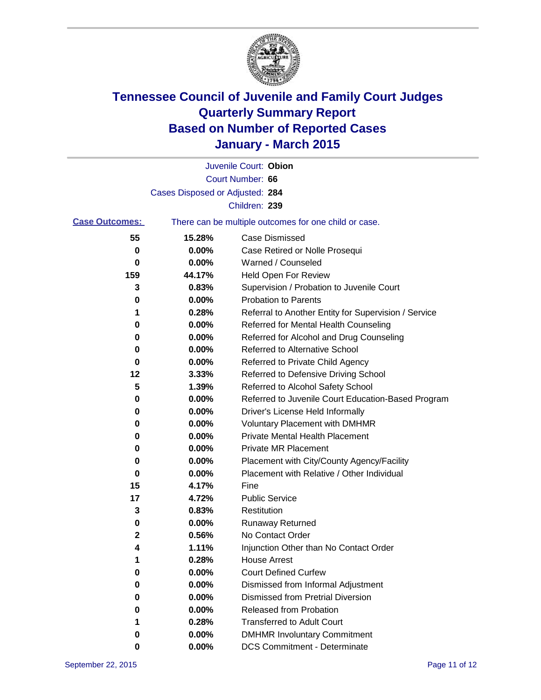

|                       |                                 | Juvenile Court: Obion                                 |
|-----------------------|---------------------------------|-------------------------------------------------------|
|                       |                                 | Court Number: 66                                      |
|                       | Cases Disposed or Adjusted: 284 |                                                       |
|                       |                                 | Children: 239                                         |
| <b>Case Outcomes:</b> |                                 | There can be multiple outcomes for one child or case. |
| 55                    | 15.28%                          | Case Dismissed                                        |
| 0                     | 0.00%                           | Case Retired or Nolle Prosequi                        |
| 0                     | 0.00%                           | Warned / Counseled                                    |
| 159                   | 44.17%                          | Held Open For Review                                  |
| 3                     | 0.83%                           | Supervision / Probation to Juvenile Court             |
| 0                     | 0.00%                           | <b>Probation to Parents</b>                           |
| 1                     | 0.28%                           | Referral to Another Entity for Supervision / Service  |
| 0                     | 0.00%                           | Referred for Mental Health Counseling                 |
| 0                     | 0.00%                           | Referred for Alcohol and Drug Counseling              |
| 0                     | 0.00%                           | <b>Referred to Alternative School</b>                 |
| 0                     | 0.00%                           | Referred to Private Child Agency                      |
| 12                    | 3.33%                           | Referred to Defensive Driving School                  |
| 5                     | 1.39%                           | Referred to Alcohol Safety School                     |
| 0                     | 0.00%                           | Referred to Juvenile Court Education-Based Program    |
| 0                     | 0.00%                           | Driver's License Held Informally                      |
| 0                     | 0.00%                           | <b>Voluntary Placement with DMHMR</b>                 |
| 0                     | 0.00%                           | <b>Private Mental Health Placement</b>                |
| 0                     | 0.00%                           | <b>Private MR Placement</b>                           |
| 0                     | 0.00%                           | Placement with City/County Agency/Facility            |
| 0                     | 0.00%                           | Placement with Relative / Other Individual            |
| 15                    | 4.17%                           | Fine                                                  |
| 17                    | 4.72%                           | <b>Public Service</b>                                 |
| 3                     | 0.83%                           | Restitution                                           |
| 0                     | 0.00%                           | <b>Runaway Returned</b>                               |
| 2                     | 0.56%                           | No Contact Order                                      |
| 4                     | 1.11%                           | Injunction Other than No Contact Order                |
| 1                     | 0.28%                           | <b>House Arrest</b>                                   |
| 0                     | 0.00%                           | <b>Court Defined Curfew</b>                           |
| 0                     | 0.00%                           | Dismissed from Informal Adjustment                    |
| 0                     | 0.00%                           | <b>Dismissed from Pretrial Diversion</b>              |
| 0                     | 0.00%                           | <b>Released from Probation</b>                        |
|                       | 0.28%                           | <b>Transferred to Adult Court</b>                     |
| 0                     | 0.00%                           | <b>DMHMR Involuntary Commitment</b>                   |
| 0                     | $0.00\%$                        | <b>DCS Commitment - Determinate</b>                   |